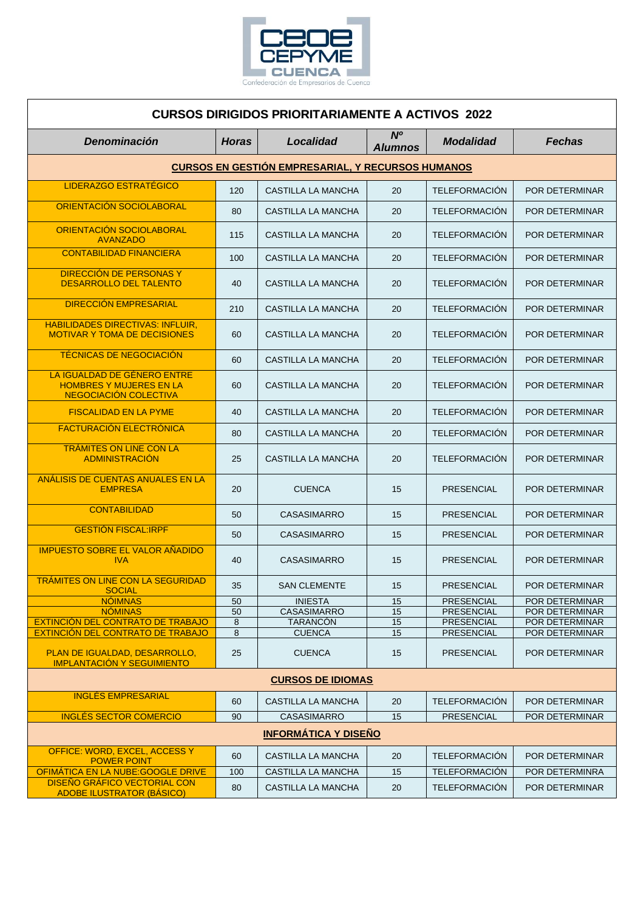

## **CURSOS DIRIGIDOS PRIORITARIAMENTE A ACTIVOS 2022**

| Denominación                                                                           | <b>Horas</b> | Localidad                 | N <sup>o</sup><br><b>Alumnos</b> | <b>Modalidad</b>     | <b>Fechas</b>         |  |  |
|----------------------------------------------------------------------------------------|--------------|---------------------------|----------------------------------|----------------------|-----------------------|--|--|
| <b>CURSOS EN GESTIÓN EMPRESARIAL, Y RECURSOS HUMANOS</b>                               |              |                           |                                  |                      |                       |  |  |
| <b>LIDERAZGO ESTRATÉGICO</b>                                                           | 120          | CASTILLA LA MANCHA        | 20                               | <b>TELEFORMACIÓN</b> | <b>POR DETERMINAR</b> |  |  |
| ORIENTACIÓN SOCIOLABORAL                                                               | 80           | CASTILLA LA MANCHA        | 20                               | <b>TELEFORMACION</b> | POR DETERMINAR        |  |  |
| ORIENTACIÓN SOCIOLABORAL<br><b>AVANZADO</b>                                            | 115          | CASTILLA LA MANCHA        | 20                               | <b>TELEFORMACIÓN</b> | POR DETERMINAR        |  |  |
| <b>CONTABILIDAD FINANCIERA</b>                                                         | 100          | <b>CASTILLA LA MANCHA</b> | 20                               | <b>TELEFORMACIÓN</b> | <b>POR DETERMINAR</b> |  |  |
| DIRECCIÓN DE PERSONAS Y<br><b>DESARROLLO DEL TALENTO</b>                               | 40           | CASTILLA LA MANCHA        | 20                               | <b>TELEFORMACION</b> | POR DETERMINAR        |  |  |
| <b>DIRECCIÓN EMPRESARIAL</b>                                                           | 210          | CASTILLA LA MANCHA        | 20                               | <b>TELEFORMACIÓN</b> | <b>POR DETERMINAR</b> |  |  |
| <b>HABILIDADES DIRECTIVAS: INFLUIR,</b><br><b>MOTIVAR Y TOMA DE DECISIONES</b>         | 60           | CASTILLA LA MANCHA        | 20                               | <b>TELEFORMACIÓN</b> | POR DETERMINAR        |  |  |
| <b>TÉCNICAS DE NEGOCIACIÓN</b>                                                         | 60           | CASTILLA LA MANCHA        | 20                               | <b>TELEFORMACIÓN</b> | POR DETERMINAR        |  |  |
| LA IGUALDAD DE GÉNERO ENTRE<br><b>HOMBRES Y MUJERES EN LA</b><br>NEGOCIACIÓN COLECTIVA | 60           | CASTILLA LA MANCHA        | 20                               | <b>TELEFORMACIÓN</b> | POR DETERMINAR        |  |  |
| <b>FISCALIDAD EN LA PYME</b>                                                           | 40           | CASTILLA LA MANCHA        | 20                               | <b>TELEFORMACIÓN</b> | POR DETERMINAR        |  |  |
| <b>FACTURACIÓN ELECTRÓNICA</b>                                                         | 80           | CASTILLA LA MANCHA        | 20                               | <b>TELEFORMACIÓN</b> | POR DETERMINAR        |  |  |
| <b>TRÁMITES ON LINE CON LA</b><br><b>ADMINISTRACIÓN</b>                                | 25           | CASTILLA LA MANCHA        | 20                               | <b>TELEFORMACIÓN</b> | POR DETERMINAR        |  |  |
| ANÁLISIS DE CUENTAS ANUALES EN LA<br><b>EMPRESA</b>                                    | 20           | <b>CUENCA</b>             | 15                               | <b>PRESENCIAL</b>    | POR DETERMINAR        |  |  |
| <b>CONTABILIDAD</b>                                                                    | 50           | <b>CASASIMARRO</b>        | 15                               | <b>PRESENCIAL</b>    | POR DETERMINAR        |  |  |
| <b>GESTION FISCAL IRPF</b>                                                             | 50           | <b>CASASIMARRO</b>        | 15                               | PRESENCIAL           | POR DETERMINAR        |  |  |
| <b>IMPUESTO SOBRE EL VALOR AÑADIDO</b><br><b>IVA</b>                                   | 40           | <b>CASASIMARRO</b>        | 15                               | PRESENCIAL           | POR DETERMINAR        |  |  |
| <b>TRÁMITES ON LINE CON LA SEGURIDAD</b><br><b>SOCIAL</b>                              | 35           | <b>SAN CLEMENTE</b>       | 15                               | <b>PRESENCIAL</b>    | <b>POR DETERMINAR</b> |  |  |
| <b>NOIMNAS</b>                                                                         | 50           | <b>INIESTA</b>            | 15                               | <b>PRESENCIAL</b>    | POR DETERMINAR        |  |  |
| <b>NÓMINAS</b>                                                                         | 50           | CASASIMARRO               | 15                               | PRESENCIAL           | POR DETERMINAR        |  |  |
| EXTINCIÓN DEL CONTRATO DE TRABAJO                                                      | 8            | <b>TARANCÓN</b>           | 15                               | PRESENCIAL           | POR DETERMINAR        |  |  |
| EXTINCIÓN DEL CONTRATO DE TRABAJO                                                      | 8            | <b>CUENCA</b>             | 15                               | <b>PRESENCIAL</b>    | POR DETERMINAR        |  |  |
| PLAN DE IGUALDAD, DESARROLLO,<br><b>IMPLANTACIÓN Y SEGUIMIENTO</b>                     | 25           | <b>CUENCA</b>             | 15                               | <b>PRESENCIAL</b>    | POR DETERMINAR        |  |  |
| <b>CURSOS DE IDIOMAS</b>                                                               |              |                           |                                  |                      |                       |  |  |
| <b>INGLÉS EMPRESARIAL</b>                                                              | 60           | CASTILLA LA MANCHA        | 20                               | <b>TELEFORMACIÓN</b> | POR DETERMINAR        |  |  |
| <b>INGLÉS SECTOR COMERCIO</b>                                                          | 90           | <b>CASASIMARRO</b>        | 15                               | PRESENCIAL           | <b>POR DETERMINAR</b> |  |  |
| <b>INFORMÁTICA Y DISEÑO</b>                                                            |              |                           |                                  |                      |                       |  |  |
| OFFICE: WORD, EXCEL, ACCESS Y<br><b>POWER POINT</b>                                    | 60           | CASTILLA LA MANCHA        | 20                               | <b>TELEFORMACIÓN</b> | POR DETERMINAR        |  |  |
| OFIMÁTICA EN LA NUBE: GOOGLE DRIVE                                                     | 100          | CASTILLA LA MANCHA        | 15                               | <b>TELEFORMACIÓN</b> | POR DETERMINRA        |  |  |
| <b>DISEÑO GRÁFICO VECTORIAL CON</b><br><b>ADOBE ILUSTRATOR (BASICO)</b>                | 80           | CASTILLA LA MANCHA        | 20                               | <b>TELEFORMACIÓN</b> | POR DETERMINAR        |  |  |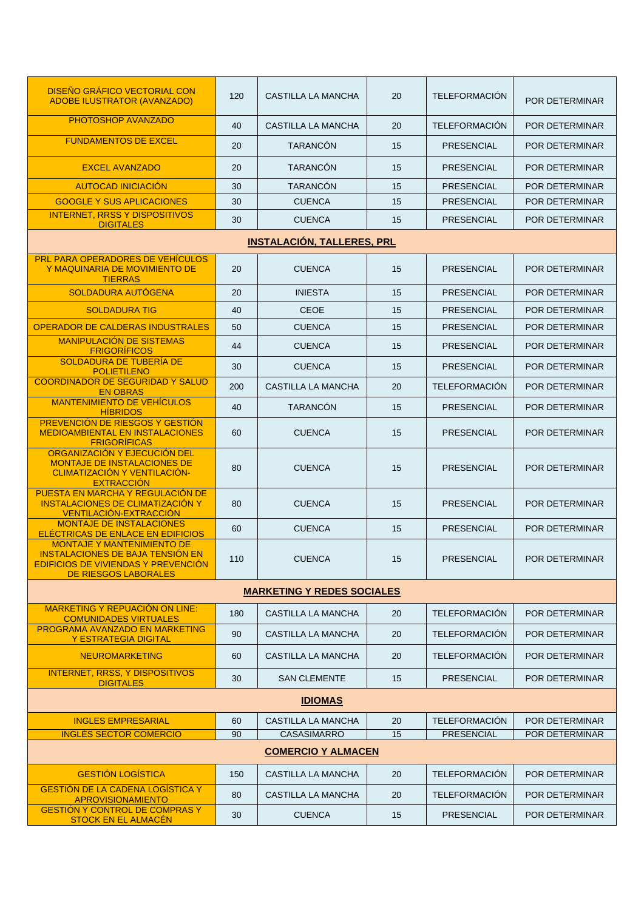| <b>DISEÑO GRÁFICO VECTORIAL CON</b><br><b>ADOBE ILUSTRATOR (AVANZADO)</b>                                                                          | 120 | CASTILLA LA MANCHA                | 20 | <b>TELEFORMACIÓN</b> | POR DETERMINAR        |  |  |
|----------------------------------------------------------------------------------------------------------------------------------------------------|-----|-----------------------------------|----|----------------------|-----------------------|--|--|
| PHOTOSHOP AVANZADO                                                                                                                                 | 40  | <b>CASTILLA LA MANCHA</b>         | 20 | <b>TELEFORMACIÓN</b> | <b>POR DETERMINAR</b> |  |  |
| <b>FUNDAMENTOS DE EXCEL</b>                                                                                                                        | 20  | <b>TARANCÓN</b>                   | 15 | <b>PRESENCIAL</b>    | <b>POR DETERMINAR</b> |  |  |
| <b>EXCEL AVANZADO</b>                                                                                                                              | 20  | <b>TARANCÓN</b>                   | 15 | <b>PRESENCIAL</b>    | <b>POR DETERMINAR</b> |  |  |
| <b>AUTOCAD INICIACIÓN</b>                                                                                                                          | 30  | <b>TARANCÓN</b>                   | 15 | <b>PRESENCIAL</b>    | <b>POR DETERMINAR</b> |  |  |
| <b>GOOGLE Y SUS APLICACIONES</b>                                                                                                                   | 30  | <b>CUENCA</b>                     | 15 | <b>PRESENCIAL</b>    | <b>POR DETERMINAR</b> |  |  |
| <b>INTERNET, RRSS Y DISPOSITIVOS</b><br><b>DIGITALES</b>                                                                                           | 30  | <b>CUENCA</b>                     | 15 | <b>PRESENCIAL</b>    | POR DETERMINAR        |  |  |
|                                                                                                                                                    |     | <b>INSTALACIÓN, TALLERES, PRL</b> |    |                      |                       |  |  |
| <b>PRL PARA OPERADORES DE VEHÍCULOS</b><br>Y MAQUINARIA DE MOVIMIENTO DE<br><b>TIERRAS</b>                                                         | 20  | <b>CUENCA</b>                     | 15 | <b>PRESENCIAL</b>    | POR DETERMINAR        |  |  |
| <b>SOLDADURA AUTÓGENA</b>                                                                                                                          | 20  | <b>INIESTA</b>                    | 15 | <b>PRESENCIAL</b>    | <b>POR DETERMINAR</b> |  |  |
| <b>SOLDADURA TIG</b>                                                                                                                               | 40  | <b>CEOE</b>                       | 15 | <b>PRESENCIAL</b>    | POR DETERMINAR        |  |  |
| <b>OPERADOR DE CALDERAS INDUSTRALES</b>                                                                                                            | 50  | <b>CUENCA</b>                     | 15 | <b>PRESENCIAL</b>    | POR DETERMINAR        |  |  |
| <b>MANIPULACIÓN DE SISTEMAS</b><br><b>FRIGORÍFICOS</b>                                                                                             | 44  | <b>CUENCA</b>                     | 15 | <b>PRESENCIAL</b>    | POR DETERMINAR        |  |  |
| SOLDADURA DE TUBERÍA DE<br><b>POLIETILENO</b>                                                                                                      | 30  | <b>CUENCA</b>                     | 15 | <b>PRESENCIAL</b>    | POR DETERMINAR        |  |  |
| <b>COORDINADOR DE SEGURIDAD Y SALUD</b><br><b>EN OBRAS</b>                                                                                         | 200 | <b>CASTILLA LA MANCHA</b>         | 20 | <b>TELEFORMACIÓN</b> | <b>POR DETERMINAR</b> |  |  |
| <b>MANTENIMIENTO DE VEHÍCULOS</b><br><b>HIBRIDOS</b>                                                                                               | 40  | <b>TARANCÓN</b>                   | 15 | <b>PRESENCIAL</b>    | POR DETERMINAR        |  |  |
| <b>PREVENCIÓN DE RIESGOS Y GESTIÓN</b><br><b>MEDIOAMBIENTAL EN INSTALACIONES</b><br><b>FRIGORÍFICAS</b>                                            | 60  | <b>CUENCA</b>                     | 15 | <b>PRESENCIAL</b>    | POR DETERMINAR        |  |  |
| ORGANIZACIÓN Y EJECUCIÓN DEL<br><b>MONTAJE DE INSTALACIONES DE</b><br>CLIMATIZACIÓN Y VENTILACIÓN-<br><b>EXTRACCIÓN</b>                            | 80  | <b>CUENCA</b>                     | 15 | <b>PRESENCIAL</b>    | <b>POR DETERMINAR</b> |  |  |
| PUESTA EN MARCHA Y REGULACIÓN DE<br><b>INSTALACIONES DE CLIMATIZACIÓN Y</b><br>VENTILACIÓN-EXTRACCIÓN                                              | 80  | <b>CUENCA</b>                     | 15 | <b>PRESENCIAL</b>    | <b>POR DETERMINAR</b> |  |  |
| <b>MONTAJE DE INSTALACIONES</b><br>ELÉCTRICAS DE ENLACE EN EDIFICIOS                                                                               | 60  | <b>CUENCA</b>                     | 15 | <b>PRESENCIAL</b>    | POR DETERMINAR        |  |  |
| <b>MONTAJE Y MANTENIMIENTO DE</b><br><b>INSTALACIONES DE BAJA TENSIÓN EN</b><br>EDIFICIOS DE VIVIENDAS Y PREVENCIÓN<br><b>DE RIESGOS LABORALES</b> | 110 | <b>CUENCA</b>                     | 15 | <b>PRESENCIAL</b>    | POR DETERMINAR        |  |  |
|                                                                                                                                                    |     | <b>MARKETING Y REDES SOCIALES</b> |    |                      |                       |  |  |
| <b>MARKETING Y REPUACIÓN ON LINE:</b><br><b>COMUNIDADES VIRTUALES</b>                                                                              | 180 | CASTILLA LA MANCHA                | 20 | <b>TELEFORMACIÓN</b> | POR DETERMINAR        |  |  |
| PROGRAMA AVANZADO EN MARKETING<br><b>Y ESTRATEGIA DIGITAL</b>                                                                                      | 90  | <b>CASTILLA LA MANCHA</b>         | 20 | <b>TELEFORMACIÓN</b> | POR DETERMINAR        |  |  |
| <b>NEUROMARKETING</b>                                                                                                                              | 60  | CASTILLA LA MANCHA                | 20 | <b>TELEFORMACIÓN</b> | POR DETERMINAR        |  |  |
| <b>INTERNET, RRSS, Y DISPOSITIVOS</b><br><b>DIGITALES</b>                                                                                          | 30  | <b>SAN CLEMENTE</b>               | 15 | <b>PRESENCIAL</b>    | POR DETERMINAR        |  |  |
| <b>IDIOMAS</b>                                                                                                                                     |     |                                   |    |                      |                       |  |  |
| <b>INGLES EMPRESARIAL</b>                                                                                                                          | 60  | <b>CASTILLA LA MANCHA</b>         | 20 | <b>TELEFORMACIÓN</b> | <b>POR DETERMINAR</b> |  |  |
| <b>INGLÉS SECTOR COMERCIO</b>                                                                                                                      | 90  | <b>CASASIMARRO</b>                | 15 | PRESENCIAL           | POR DETERMINAR        |  |  |
|                                                                                                                                                    |     | <b>COMERCIO Y ALMACEN</b>         |    |                      |                       |  |  |
| <b>GESTIÓN LOGÍSTICA</b>                                                                                                                           | 150 | CASTILLA LA MANCHA                | 20 | <b>TELEFORMACIÓN</b> | POR DETERMINAR        |  |  |
| <b>GESTIÓN DE LA CADENA LOGÍSTICA Y</b><br><b>APROVISIONAMIENTO</b>                                                                                | 80  | CASTILLA LA MANCHA                | 20 | <b>TELEFORMACIÓN</b> | POR DETERMINAR        |  |  |
| <b>GESTIÓN Y CONTROL DE COMPRAS Y</b><br><b>STOCK EN EL ALMACÉN</b>                                                                                | 30  | <b>CUENCA</b>                     | 15 | <b>PRESENCIAL</b>    | POR DETERMINAR        |  |  |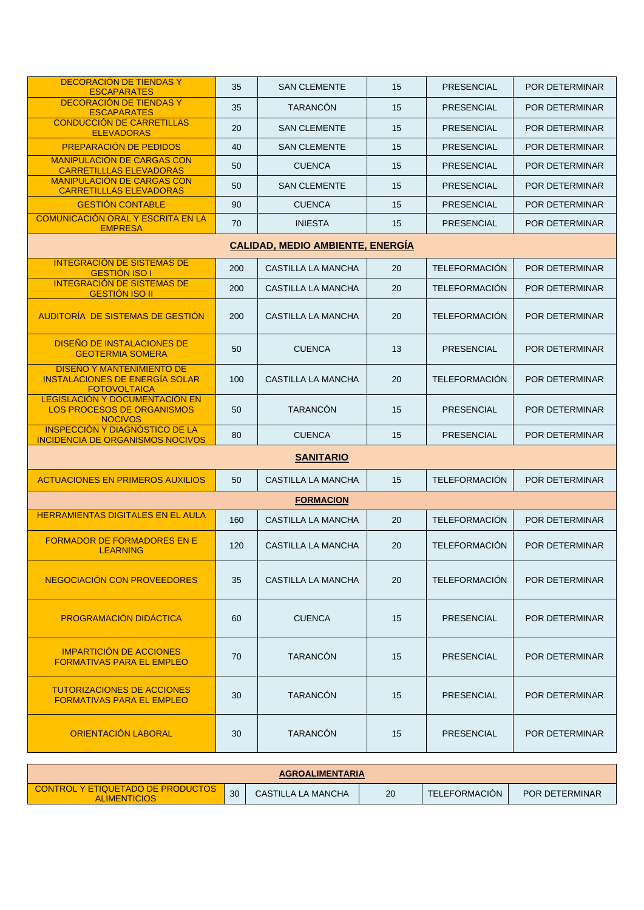| DECORACIÓN DE TIENDAS Y<br><b>ESCAPARATES</b>                                                    | 35  | <b>SAN CLEMENTE</b>                     | 15 | <b>PRESENCIAL</b>    | POR DETERMINAR        |  |  |
|--------------------------------------------------------------------------------------------------|-----|-----------------------------------------|----|----------------------|-----------------------|--|--|
| DECORACIÓN DE TIENDAS Y<br><b>ESCAPARATES</b>                                                    | 35  | <b>TARANCÓN</b>                         | 15 | <b>PRESENCIAL</b>    | POR DETERMINAR        |  |  |
| <b>CONDUCCIÓN DE CARRETILLAS</b><br><b>ELEVADORAS</b>                                            | 20  | <b>SAN CLEMENTE</b>                     | 15 | <b>PRESENCIAL</b>    | <b>POR DETERMINAR</b> |  |  |
| PREPARACIÓN DE PEDIDOS                                                                           | 40  | <b>SAN CLEMENTE</b>                     | 15 | <b>PRESENCIAL</b>    | <b>POR DETERMINAR</b> |  |  |
| <b>MANIPULACIÓN DE CARGAS CON</b><br><b>CARRETILLLAS ELEVADORAS</b>                              | 50  | <b>CUENCA</b>                           | 15 | <b>PRESENCIAL</b>    | POR DETERMINAR        |  |  |
| <b>MANIPULACIÓN DE CARGAS CON</b><br><b>CARRETILLLAS ELEVADORAS</b>                              | 50  | <b>SAN CLEMENTE</b>                     | 15 | <b>PRESENCIAL</b>    | POR DETERMINAR        |  |  |
| <b>GESTIÓN CONTABLE</b>                                                                          | 90  | <b>CUENCA</b>                           | 15 | <b>PRESENCIAL</b>    | <b>POR DETERMINAR</b> |  |  |
| <b>COMUNICACIÓN ORAL Y ESCRITA EN LA</b><br><b>EMPRESA</b>                                       | 70  | <b>INIESTA</b>                          | 15 | <b>PRESENCIAL</b>    | POR DETERMINAR        |  |  |
|                                                                                                  |     | <b>CALIDAD, MEDIO AMBIENTE, ENERGÍA</b> |    |                      |                       |  |  |
| <b>INTEGRACIÓN DE SISTEMAS DE</b><br><b>GESTIÓN ISO I</b>                                        | 200 | CASTILLA LA MANCHA                      | 20 | <b>TELEFORMACIÓN</b> | POR DETERMINAR        |  |  |
| <b>INTEGRACIÓN DE SISTEMAS DE</b><br><b>GESTIÓN ISO II</b>                                       | 200 | <b>CASTILLA LA MANCHA</b>               | 20 | <b>TELEFORMACIÓN</b> | POR DETERMINAR        |  |  |
| AUDITORÍA DE SISTEMAS DE GESTIÓN                                                                 | 200 | CASTILLA LA MANCHA                      | 20 | <b>TELEFORMACIÓN</b> | POR DETERMINAR        |  |  |
| <b>DISEÑO DE INSTALACIONES DE</b><br><b>GEOTERMIA SOMERA</b>                                     | 50  | <b>CUENCA</b>                           | 13 | <b>PRESENCIAL</b>    | POR DETERMINAR        |  |  |
| <b>DISEÑO Y MANTENIMIENTO DE</b><br><b>INSTALACIONES DE ENERGÍA SOLAR</b><br><b>FOTOVOLTAICA</b> | 100 | CASTILLA LA MANCHA                      | 20 | <b>TELEFORMACIÓN</b> | POR DETERMINAR        |  |  |
| <b>LEGISLACIÓN Y DOCUMENTACIÓN EN</b><br><b>LOS PROCESOS DE ORGANISMOS</b><br><b>NOCIVOS</b>     | 50  | <b>TARANCÓN</b>                         | 15 | <b>PRESENCIAL</b>    | <b>POR DETERMINAR</b> |  |  |
| <b>INSPECCIÓN Y DIAGNÓSTICO DE LA</b><br><b>INCIDENCIA DE ORGANISMOS NOCIVOS</b>                 | 80  | <b>CUENCA</b>                           | 15 | <b>PRESENCIAL</b>    | POR DETERMINAR        |  |  |
| <b>SANITARIO</b>                                                                                 |     |                                         |    |                      |                       |  |  |
| <b>ACTUACIONES EN PRIMEROS AUXILIOS</b>                                                          | 50  | <b>CASTILLA LA MANCHA</b>               | 15 | <b>TELEFORMACION</b> | POR DETERMINAR        |  |  |
|                                                                                                  |     | <b>FORMACION</b>                        |    |                      |                       |  |  |
| <b>HERRAMIENTAS DIGITALES EN EL AULA</b>                                                         | 160 | <b>CASTILLA LA MANCHA</b>               | 20 | <b>TELEFORMACIÓN</b> | POR DETERMINAR        |  |  |
| <b>FORMADOR DE FORMADORES EN E</b><br><b>LEARNING</b>                                            | 120 | CASTILLA LA MANCHA                      | 20 | <b>TELEFORMACIÓN</b> | POR DETERMINAR        |  |  |
| NEGOCIACIÓN CON PROVEEDORES                                                                      | 35  | CASTILLA LA MANCHA                      | 20 | <b>TELEFORMACIÓN</b> | POR DETERMINAR        |  |  |
| <b>PROGRAMACIÓN DIDÁCTICA</b>                                                                    | 60  | <b>CUENCA</b>                           | 15 | <b>PRESENCIAL</b>    | POR DETERMINAR        |  |  |
| <b>IMPARTICIÓN DE ACCIONES</b><br><b>FORMATIVAS PARA EL EMPLEO</b>                               | 70  | <b>TARANCÓN</b>                         | 15 | <b>PRESENCIAL</b>    | POR DETERMINAR        |  |  |
| <b>TUTORIZACIONES DE ACCIONES</b><br><b>FORMATIVAS PARA EL EMPLEO</b>                            | 30  | <b>TARANCÓN</b>                         | 15 | <b>PRESENCIAL</b>    | POR DETERMINAR        |  |  |
| <b>ORIENTACIÓN LABORAL</b>                                                                       | 30  | <b>TARANCÓN</b>                         | 15 | <b>PRESENCIAL</b>    | <b>POR DETERMINAR</b> |  |  |

| <b>AGROALIMENTARIA</b>                                          |    |                    |    |               |                       |  |
|-----------------------------------------------------------------|----|--------------------|----|---------------|-----------------------|--|
| <b>CONTROL Y ETIQUETADO DE PRODUCTOS</b><br><b>ALIMENTICIOS</b> | 30 | CASTILLA LA MANCHA | 20 | TELEFORMACION | <b>POR DETERMINAR</b> |  |